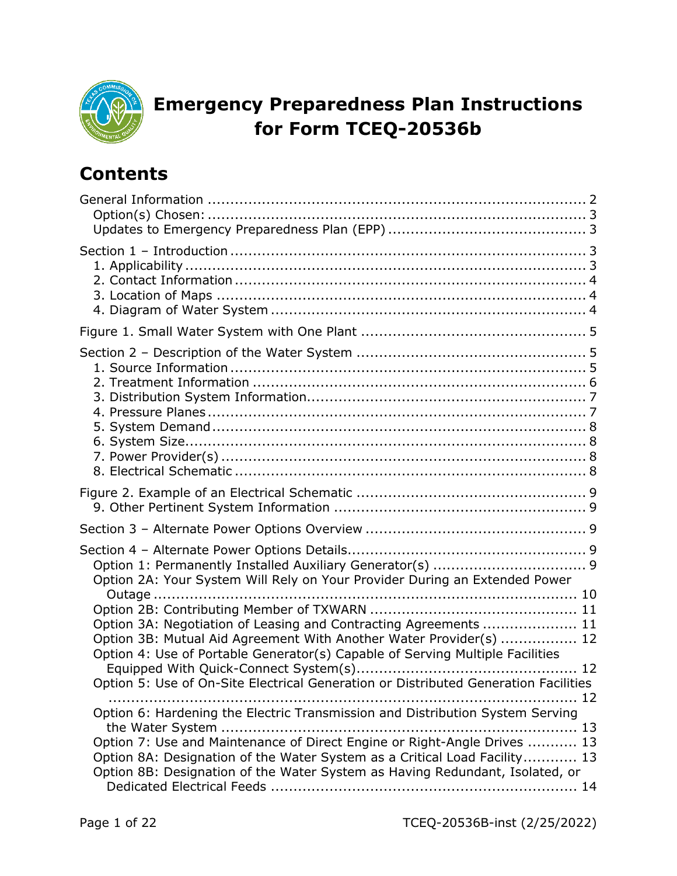

# **Emergency Preparedness Plan Instructions for Form TCEQ-20536b**

## **Contents**

| Option 2A: Your System Will Rely on Your Provider During an Extended Power                                                                                                                                                                                                                                             |
|------------------------------------------------------------------------------------------------------------------------------------------------------------------------------------------------------------------------------------------------------------------------------------------------------------------------|
| Option 3A: Negotiation of Leasing and Contracting Agreements  11<br>Option 3B: Mutual Aid Agreement With Another Water Provider(s)  12<br>Option 4: Use of Portable Generator(s) Capable of Serving Multiple Facilities<br>Option 5: Use of On-Site Electrical Generation or Distributed Generation Facilities         |
| Option 6: Hardening the Electric Transmission and Distribution System Serving<br>Option 7: Use and Maintenance of Direct Engine or Right-Angle Drives  13<br>Option 8A: Designation of the Water System as a Critical Load Facility 13<br>Option 8B: Designation of the Water System as Having Redundant, Isolated, or |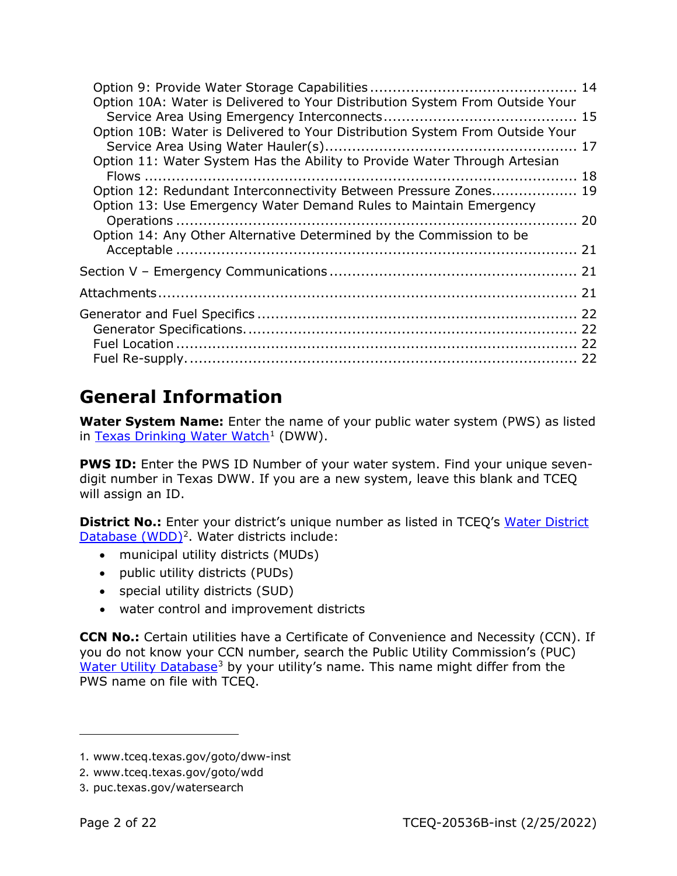| Option 10A: Water is Delivered to Your Distribution System From Outside Your |  |
|------------------------------------------------------------------------------|--|
| Option 10B: Water is Delivered to Your Distribution System From Outside Your |  |
|                                                                              |  |
| Option 11: Water System Has the Ability to Provide Water Through Artesian    |  |
| Option 12: Redundant Interconnectivity Between Pressure Zones 19             |  |
| Option 13: Use Emergency Water Demand Rules to Maintain Emergency            |  |
|                                                                              |  |
| Option 14: Any Other Alternative Determined by the Commission to be          |  |
|                                                                              |  |
|                                                                              |  |
|                                                                              |  |
|                                                                              |  |
|                                                                              |  |
|                                                                              |  |
|                                                                              |  |
|                                                                              |  |

# <span id="page-1-0"></span>**General Information**

**Water System Name:** Enter the name of your public water system (PWS) as listed in [Texas Drinking Water Watch](https://www.tceq.texas.gov/goto/dww-inst)<sup>[1](#page-1-1)</sup> (DWW).

**PWS ID:** Enter the PWS ID Number of your water system. Find your unique sevendigit number in Texas DWW. If you are a new system, leave this blank and TCEQ will assign an ID.

**District No.:** Enter your district's unique number as listed in TCEQ's Water District [Database \(WDD\)](https://www.tceq.texas.gov/goto/wdd)<sup>[2](#page-1-2)</sup>. Water districts include:

- municipal utility districts (MUDs)
- public utility districts (PUDs)
- special utility districts (SUD)
- water control and improvement districts

**CCN No.:** Certain utilities have a Certificate of Convenience and Necessity (CCN). If you do not know your CCN number, search the Public Utility Commission's (PUC) [Water Utility Database](https://puc.texas.gov/watersearch)<sup>[3](#page-1-3)</sup> by your utility's name. This name might differ from the PWS name on file with TCEQ.

<span id="page-1-1"></span><sup>1</sup>. www.tceq.texas.gov/goto/dww-inst

<span id="page-1-2"></span><sup>2</sup>. www.tceq.texas.gov/goto/wdd

<span id="page-1-3"></span><sup>3</sup>. puc.texas.gov/watersearch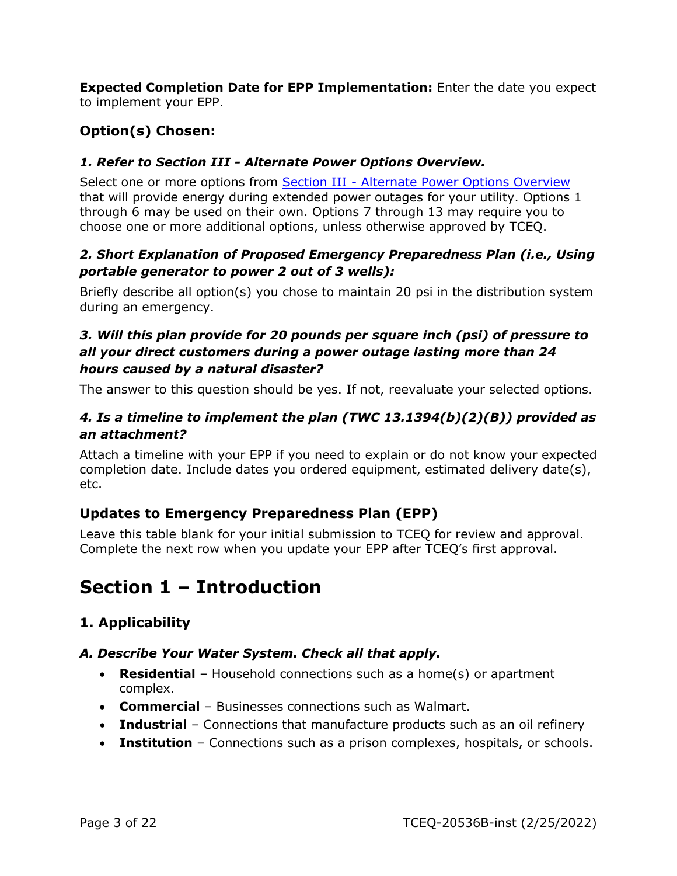**Expected Completion Date for EPP Implementation:** Enter the date you expect to implement your EPP.

## <span id="page-2-0"></span>**Option(s) Chosen:**

#### *1. Refer to Section III - Alternate Power Options Overview.*

Select one or more options from **Section III - [Alternate Power Options Overview](#page-8-2)** that will provide energy during extended power outages for your utility. Options 1 through 6 may be used on their own. Options 7 through 13 may require you to choose one or more additional options, unless otherwise approved by TCEQ.

#### *2. Short Explanation of Proposed Emergency Preparedness Plan (i.e., Using portable generator to power 2 out of 3 wells):*

Briefly describe all option(s) you chose to maintain 20 psi in the distribution system during an emergency.

#### *3. Will this plan provide for 20 pounds per square inch (psi) of pressure to all your direct customers during a power outage lasting more than 24 hours caused by a natural disaster?*

The answer to this question should be yes. If not, reevaluate your selected options.

#### *4. Is a timeline to implement the plan (TWC 13.1394(b)(2)(B)) provided as an attachment?*

Attach a timeline with your EPP if you need to explain or do not know your expected completion date. Include dates you ordered equipment, estimated delivery date(s), etc.

#### <span id="page-2-1"></span>**Updates to Emergency Preparedness Plan (EPP)**

Leave this table blank for your initial submission to TCEQ for review and approval. Complete the next row when you update your EPP after TCEQ's first approval.

## <span id="page-2-2"></span>**Section 1 – Introduction**

## <span id="page-2-3"></span>**1. Applicability**

#### *A. Describe Your Water System. Check all that apply.*

- **Residential** Household connections such as a home(s) or apartment complex.
- **Commercial** Businesses connections such as Walmart.
- **Industrial** Connections that manufacture products such as an oil refinery
- **Institution** Connections such as a prison complexes, hospitals, or schools.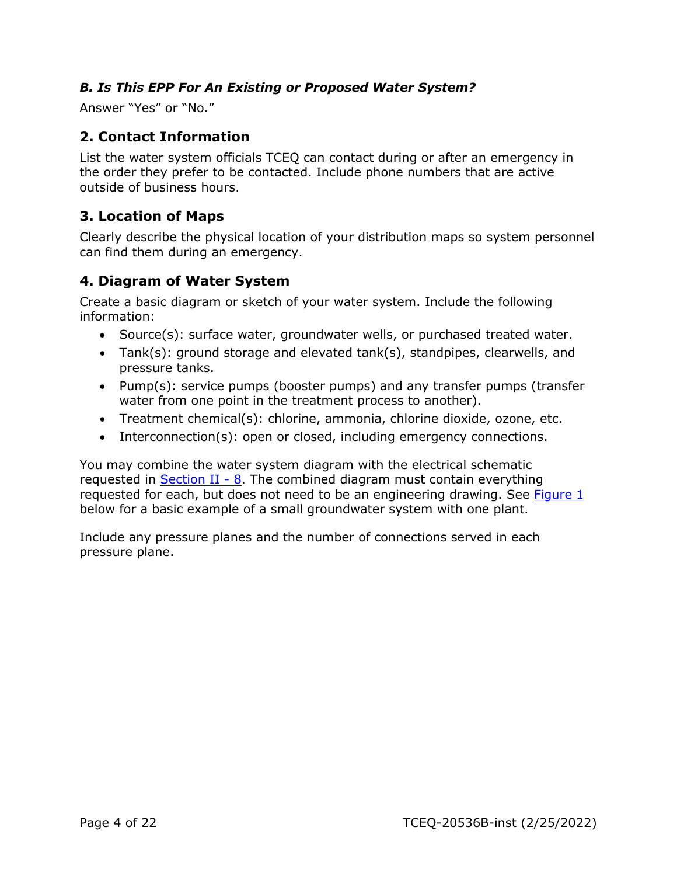#### *B. Is This EPP For An Existing or Proposed Water System?*

Answer "Yes" or "No."

## <span id="page-3-0"></span>**2. Contact Information**

List the water system officials TCEQ can contact during or after an emergency in the order they prefer to be contacted. Include phone numbers that are active outside of business hours.

#### <span id="page-3-1"></span>**3. Location of Maps**

Clearly describe the physical location of your distribution maps so system personnel can find them during an emergency.

#### <span id="page-3-2"></span>**4. Diagram of Water System**

Create a basic diagram or sketch of your water system. Include the following information:

- Source(s): surface water, groundwater wells, or purchased treated water.
- Tank(s): ground storage and elevated tank(s), standpipes, clearwells, and pressure tanks.
- Pump(s): service pumps (booster pumps) and any transfer pumps (transfer water from one point in the treatment process to another).
- Treatment chemical(s): chlorine, ammonia, chlorine dioxide, ozone, etc.
- Interconnection(s): open or closed, including emergency connections.

You may combine the water system diagram with the electrical schematic requested in [Section II -](#page-7-3) 8. The combined diagram must contain everything requested for each, but does not need to be an engineering drawing. See [Figure 1](#page-4-0) below for a basic example of a small groundwater system with one plant.

Include any pressure planes and the number of connections served in each pressure plane.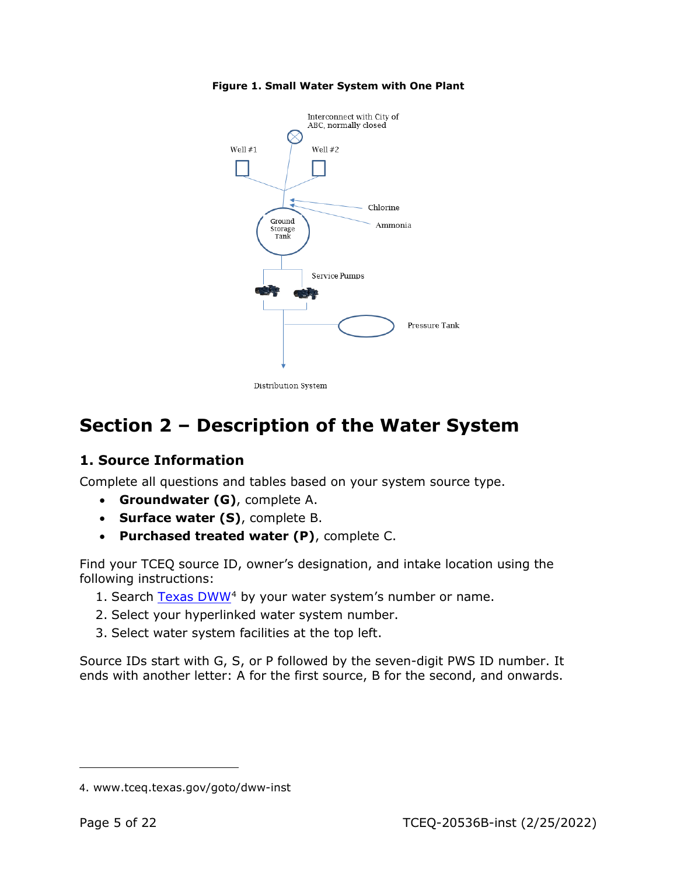

<span id="page-4-0"></span>**Figure 1. Small Water System with One Plant**

Distribution System

# <span id="page-4-1"></span>**Section 2 – Description of the Water System**

#### <span id="page-4-2"></span>**1. Source Information**

Complete all questions and tables based on your system source type.

- **Groundwater (G)**, complete A.
- **Surface water (S)**, complete B.
- **Purchased treated water (P)**, complete C.

Find your TCEQ source ID, owner's designation, and intake location using the following instructions:

- 1. Search [Texas DWW](https://www.tceq.texas.gov/goto/dww-inst)<sup>[4](#page-4-3)</sup> by your water system's number or name.
- 2. Select your hyperlinked water system number.
- 3. Select water system facilities at the top left.

Source IDs start with G, S, or P followed by the seven-digit PWS ID number. It ends with another letter: A for the first source, B for the second, and onwards.

<span id="page-4-3"></span><sup>4</sup>. www.tceq.texas.gov/goto/dww-inst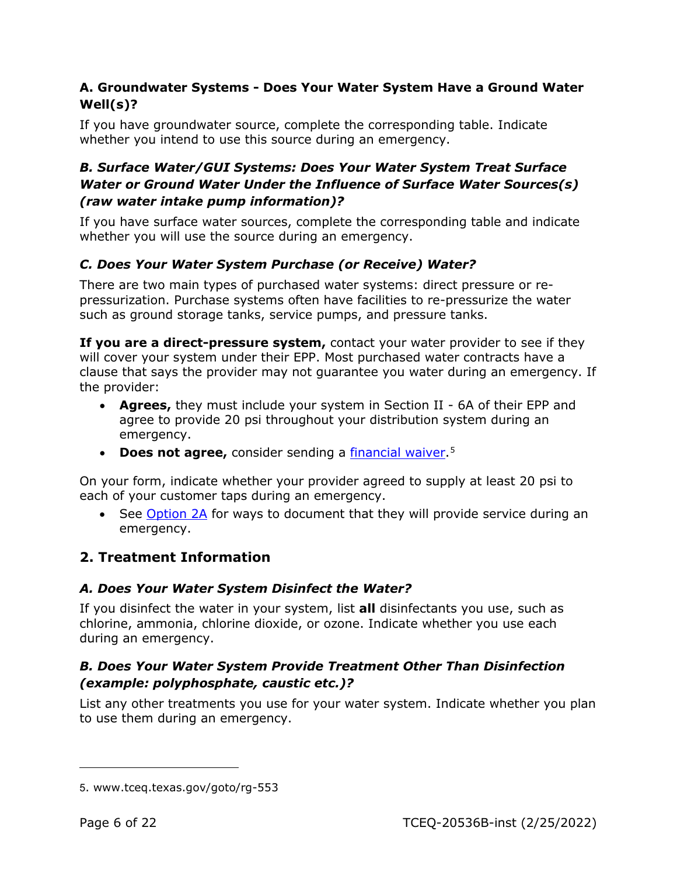#### **A. Groundwater Systems - Does Your Water System Have a Ground Water Well(s)?**

If you have groundwater source, complete the corresponding table. Indicate whether you intend to use this source during an emergency.

#### *B. Surface Water/GUI Systems: Does Your Water System Treat Surface Water or Ground Water Under the Influence of Surface Water Sources(s) (raw water intake pump information)?*

If you have surface water sources, complete the corresponding table and indicate whether you will use the source during an emergency.

## *C. Does Your Water System Purchase (or Receive) Water?*

There are two main types of purchased water systems: direct pressure or repressurization. Purchase systems often have facilities to re-pressurize the water such as ground storage tanks, service pumps, and pressure tanks.

**If you are a direct-pressure system,** contact your water provider to see if they will cover your system under their EPP. Most purchased water contracts have a clause that says the provider may not guarantee you water during an emergency. If the provider:

- **Agrees,** they must include your system in Section II 6A of their EPP and agree to provide 20 psi throughout your distribution system during an emergency.
- **Does not agree,** consider sending a [financial waiver.](https://www.tceq.texas.gov/goto/rg-553)<sup>[5](#page-5-1)</sup>

On your form, indicate whether your provider agreed to supply at least 20 psi to each of your customer taps during an emergency.

• See [Option 2A](#page-9-0) for ways to document that they will provide service during an emergency.

## <span id="page-5-0"></span>**2. Treatment Information**

## *A. Does Your Water System Disinfect the Water?*

If you disinfect the water in your system, list **all** disinfectants you use, such as chlorine, ammonia, chlorine dioxide, or ozone. Indicate whether you use each during an emergency.

#### *B. Does Your Water System Provide Treatment Other Than Disinfection (example: polyphosphate, caustic etc.)?*

List any other treatments you use for your water system. Indicate whether you plan to use them during an emergency.

<span id="page-5-1"></span><sup>5</sup>. www.tceq.texas.gov/goto/rg-553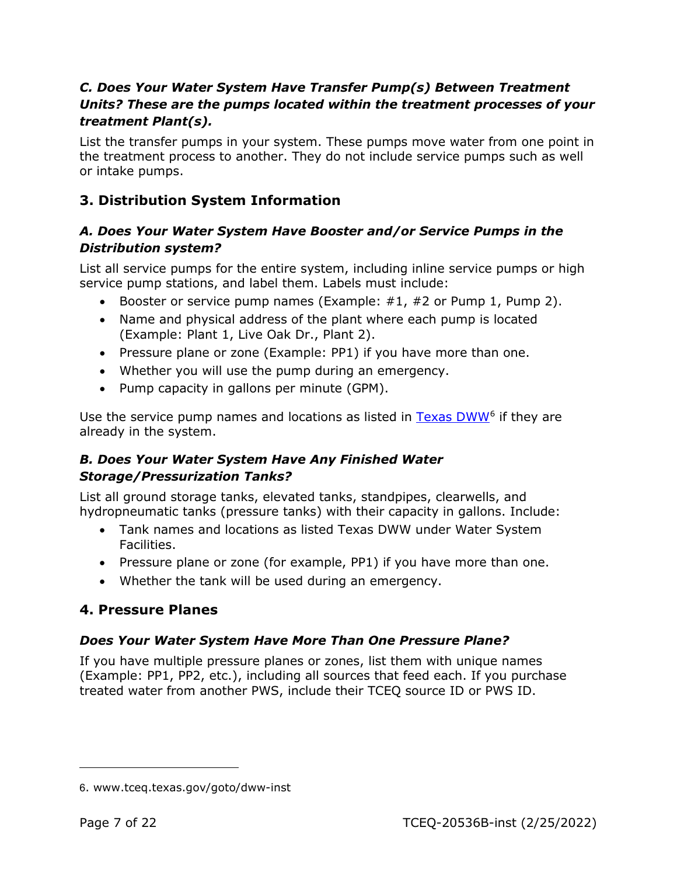#### *C. Does Your Water System Have Transfer Pump(s) Between Treatment Units? These are the pumps located within the treatment processes of your treatment Plant(s).*

List the transfer pumps in your system. These pumps move water from one point in the treatment process to another. They do not include service pumps such as well or intake pumps.

## <span id="page-6-0"></span>**3. Distribution System Information**

#### *A. Does Your Water System Have Booster and/or Service Pumps in the Distribution system?*

List all service pumps for the entire system, including inline service pumps or high service pump stations, and label them. Labels must include:

- Booster or service pump names (Example:  $\#1$ ,  $\#2$  or Pump 1, Pump 2).
- Name and physical address of the plant where each pump is located (Example: Plant 1, Live Oak Dr., Plant 2).
- Pressure plane or zone (Example: PP1) if you have more than one.
- Whether you will use the pump during an emergency.
- Pump capacity in gallons per minute (GPM).

Use the service pump names and locations as listed in [Texas DWW](https://www.tceq.texas.gov/goto/dww-inst)[6](#page-6-2) if they are already in the system.

#### *B. Does Your Water System Have Any Finished Water Storage/Pressurization Tanks?*

List all ground storage tanks, elevated tanks, standpipes, clearwells, and hydropneumatic tanks (pressure tanks) with their capacity in gallons. Include:

- Tank names and locations as listed Texas DWW under Water System Facilities.
- Pressure plane or zone (for example, PP1) if you have more than one.
- Whether the tank will be used during an emergency.

## <span id="page-6-1"></span>**4. Pressure Planes**

## *Does Your Water System Have More Than One Pressure Plane?*

If you have multiple pressure planes or zones, list them with unique names (Example: PP1, PP2, etc.), including all sources that feed each. If you purchase treated water from another PWS, include their TCEQ source ID or PWS ID.

<span id="page-6-2"></span><sup>6</sup>. www.tceq.texas.gov/goto/dww-inst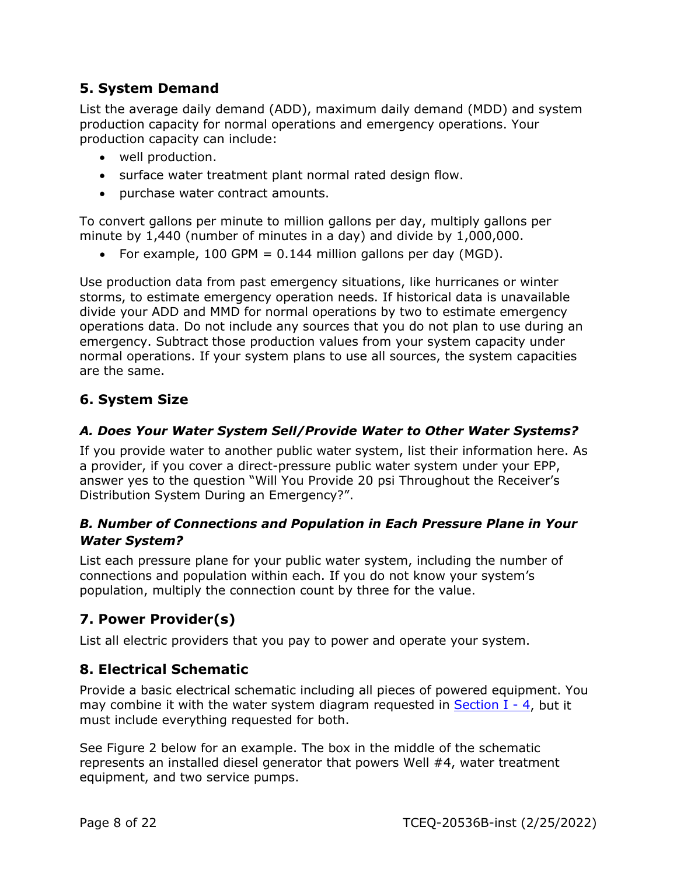## <span id="page-7-0"></span>**5. System Demand**

List the average daily demand (ADD), maximum daily demand (MDD) and system production capacity for normal operations and emergency operations. Your production capacity can include:

- well production.
- surface water treatment plant normal rated design flow.
- purchase water contract amounts.

To convert gallons per minute to million gallons per day, multiply gallons per minute by 1,440 (number of minutes in a day) and divide by 1,000,000.

• For example, 100 GPM  $= 0.144$  million gallons per day (MGD).

Use production data from past emergency situations, like hurricanes or winter storms, to estimate emergency operation needs. If historical data is unavailable divide your ADD and MMD for normal operations by two to estimate emergency operations data. Do not include any sources that you do not plan to use during an emergency. Subtract those production values from your system capacity under normal operations. If your system plans to use all sources, the system capacities are the same.

## <span id="page-7-1"></span>**6. System Size**

#### *A. Does Your Water System Sell/Provide Water to Other Water Systems?*

If you provide water to another public water system, list their information here. As a provider, if you cover a direct-pressure public water system under your EPP, answer yes to the question "Will You Provide 20 psi Throughout the Receiver's Distribution System During an Emergency?".

#### *B. Number of Connections and Population in Each Pressure Plane in Your Water System?*

List each pressure plane for your public water system, including the number of connections and population within each. If you do not know your system's population, multiply the connection count by three for the value.

## <span id="page-7-2"></span>**7. Power Provider(s)**

List all electric providers that you pay to power and operate your system.

## <span id="page-7-3"></span>**8. Electrical Schematic**

Provide a basic electrical schematic including all pieces of powered equipment. You may combine it with the water system diagram requested in Section  $I - 4$ , but it must include everything requested for both.

See Figure 2 below for an example. The box in the middle of the schematic represents an installed diesel generator that powers Well #4, water treatment equipment, and two service pumps.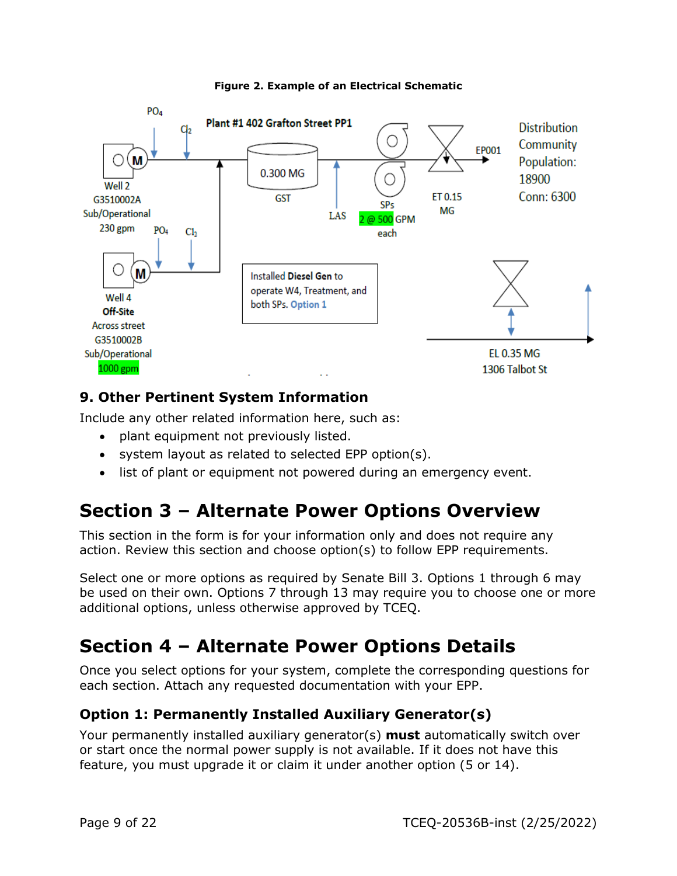<span id="page-8-0"></span>

#### **Figure 2. Example of an Electrical Schematic**

## <span id="page-8-1"></span>**9. Other Pertinent System Information**

Include any other related information here, such as:

- plant equipment not previously listed.
- system layout as related to selected EPP option(s).
- list of plant or equipment not powered during an emergency event.

# <span id="page-8-2"></span>**Section 3 – Alternate Power Options Overview**

This section in the form is for your information only and does not require any action. Review this section and choose option(s) to follow EPP requirements.

Select one or more options as required by Senate Bill 3. Options 1 through 6 may be used on their own. Options 7 through 13 may require you to choose one or more additional options, unless otherwise approved by TCEQ.

## <span id="page-8-3"></span>**Section 4 – Alternate Power Options Details**

Once you select options for your system, complete the corresponding questions for each section. Attach any requested documentation with your EPP.

## <span id="page-8-4"></span>**Option 1: Permanently Installed Auxiliary Generator(s)**

Your permanently installed auxiliary generator(s) **must** automatically switch over or start once the normal power supply is not available. If it does not have this feature, you must upgrade it or claim it under another option (5 or 14).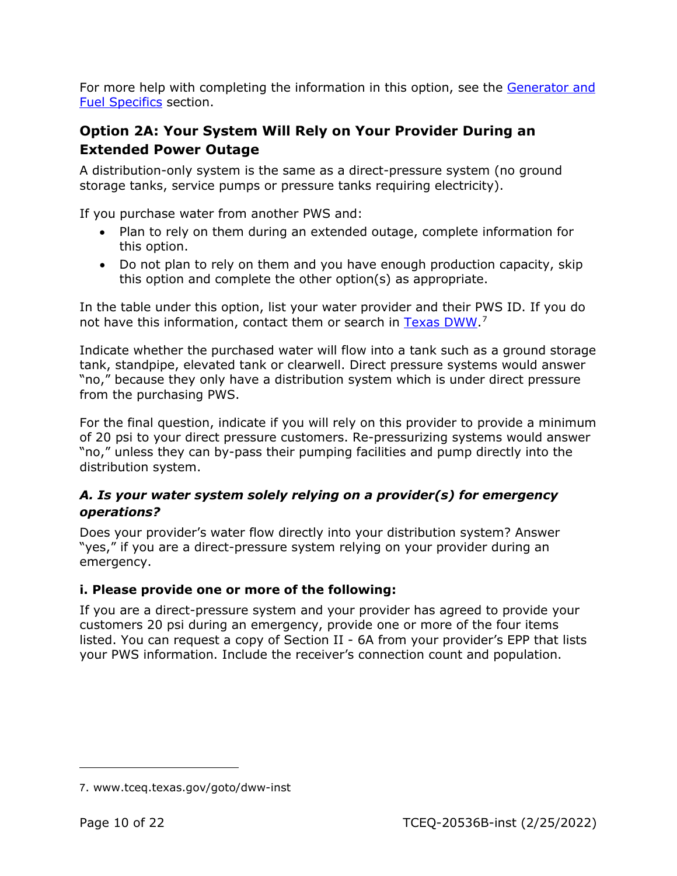For more help with completing the information in this option, see the [Generator and](#page-21-0)  [Fuel Specifics](#page-21-0) section.

## <span id="page-9-0"></span>**Option 2A: Your System Will Rely on Your Provider During an Extended Power Outage**

A distribution-only system is the same as a direct-pressure system (no ground storage tanks, service pumps or pressure tanks requiring electricity).

If you purchase water from another PWS and:

- Plan to rely on them during an extended outage, complete information for this option.
- Do not plan to rely on them and you have enough production capacity, skip this option and complete the other option(s) as appropriate.

In the table under this option, list your water provider and their PWS ID. If you do not have this information, contact them or search in [Texas DWW.](https://www.tceq.texas.gov/goto/dww-inst)<sup>[7](#page-9-1)</sup>

Indicate whether the purchased water will flow into a tank such as a ground storage tank, standpipe, elevated tank or clearwell. Direct pressure systems would answer "no," because they only have a distribution system which is under direct pressure from the purchasing PWS.

For the final question, indicate if you will rely on this provider to provide a minimum of 20 psi to your direct pressure customers. Re-pressurizing systems would answer "no," unless they can by-pass their pumping facilities and pump directly into the distribution system.

#### *A. Is your water system solely relying on a provider(s) for emergency operations?*

Does your provider's water flow directly into your distribution system? Answer "yes," if you are a direct-pressure system relying on your provider during an emergency.

#### **i. Please provide one or more of the following:**

If you are a direct-pressure system and your provider has agreed to provide your customers 20 psi during an emergency, provide one or more of the four items listed. You can request a copy of Section II - 6A from your provider's EPP that lists your PWS information. Include the receiver's connection count and population.

<span id="page-9-1"></span><sup>7</sup>. www.tceq.texas.gov/goto/dww-inst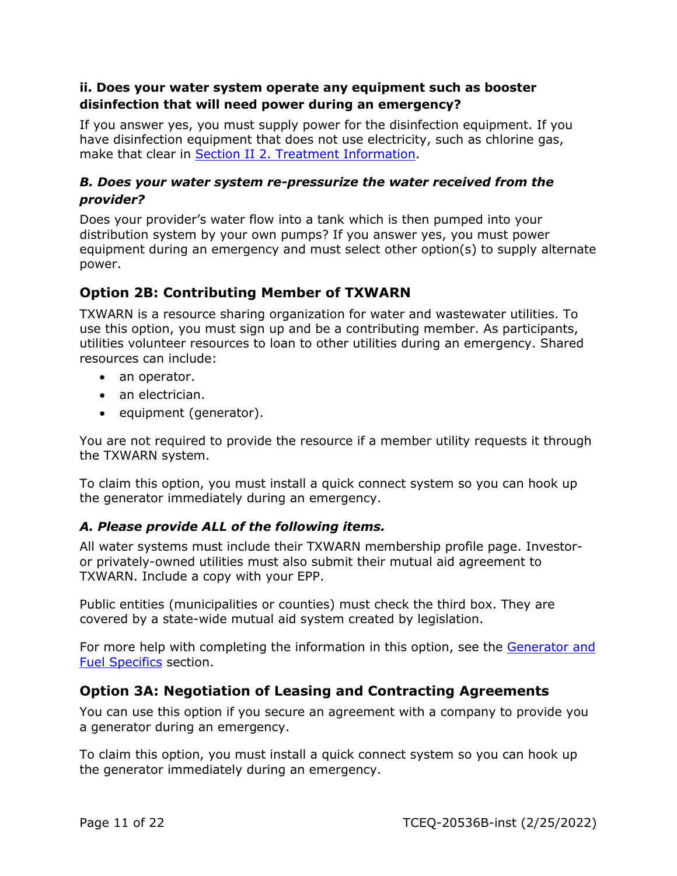#### **ii. Does your water system operate any equipment such as booster disinfection that will need power during an emergency?**

If you answer yes, you must supply power for the disinfection equipment. If you have disinfection equipment that does not use electricity, such as chlorine gas, make that clear in Section II 2. [Treatment Information.](#page-5-0)

#### *B. Does your water system re-pressurize the water received from the provider?*

Does your provider's water flow into a tank which is then pumped into your distribution system by your own pumps? If you answer yes, you must power equipment during an emergency and must select other option(s) to supply alternate power.

## <span id="page-10-0"></span>**Option 2B: Contributing Member of TXWARN**

TXWARN is a resource sharing organization for water and wastewater utilities. To use this option, you must sign up and be a contributing member. As participants, utilities volunteer resources to loan to other utilities during an emergency. Shared resources can include:

- an operator.
- an electrician.
- equipment (generator).

You are not required to provide the resource if a member utility requests it through the TXWARN system.

To claim this option, you must install a quick connect system so you can hook up the generator immediately during an emergency.

#### *A. Please provide ALL of the following items.*

All water systems must include their TXWARN membership profile page. Investoror privately-owned utilities must also submit their mutual aid agreement to TXWARN. Include a copy with your EPP.

Public entities (municipalities or counties) must check the third box. They are covered by a state-wide mutual aid system created by legislation.

For more help with completing the information in this option, see the [Generator and](#page-21-0)  [Fuel Specifics](#page-21-0) section.

#### <span id="page-10-1"></span>**Option 3A: Negotiation of Leasing and Contracting Agreements**

You can use this option if you secure an agreement with a company to provide you a generator during an emergency.

To claim this option, you must install a quick connect system so you can hook up the generator immediately during an emergency.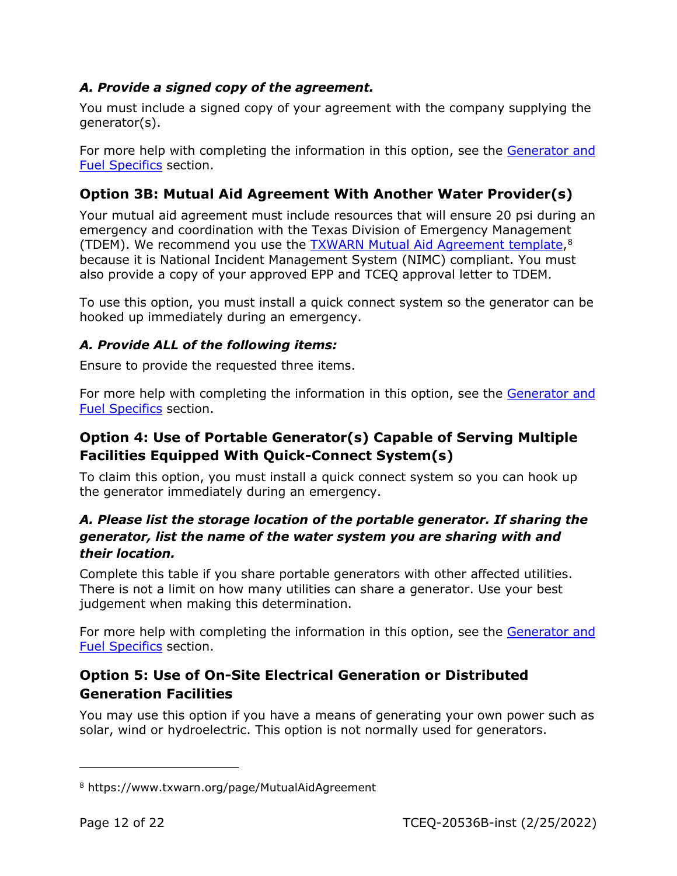#### *A. Provide a signed copy of the agreement.*

You must include a signed copy of your agreement with the company supplying the generator(s).

For more help with completing the information in this option, see the [Generator and](#page-21-0)  [Fuel Specifics](#page-21-0) section.

## <span id="page-11-0"></span>**Option 3B: Mutual Aid Agreement With Another Water Provider(s)**

Your mutual aid agreement must include resources that will ensure 20 psi during an emergency and coordination with the Texas Division of Emergency Management (TDEM). We recommend you use the TXWARN [Mutual Aid Agreement template,](https://www.txwarn.org/page/MutualAidAgreement)[8](#page-11-3) because it is National Incident Management System (NIMC) compliant. You must also provide a copy of your approved EPP and TCEQ approval letter to TDEM.

To use this option, you must install a quick connect system so the generator can be hooked up immediately during an emergency.

#### *A. Provide ALL of the following items:*

Ensure to provide the requested three items.

For more help with completing the information in this option, see the [Generator and](#page-21-0)  [Fuel Specifics](#page-21-0) section.

## <span id="page-11-1"></span>**Option 4: Use of Portable Generator(s) Capable of Serving Multiple Facilities Equipped With Quick-Connect System(s)**

To claim this option, you must install a quick connect system so you can hook up the generator immediately during an emergency.

#### *A. Please list the storage location of the portable generator. If sharing the generator, list the name of the water system you are sharing with and their location.*

Complete this table if you share portable generators with other affected utilities. There is not a limit on how many utilities can share a generator. Use your best judgement when making this determination.

For more help with completing the information in this option, see the Generator and [Fuel Specifics](#page-21-0) section.

## <span id="page-11-2"></span>**Option 5: Use of On-Site Electrical Generation or Distributed Generation Facilities**

You may use this option if you have a means of generating your own power such as solar, wind or hydroelectric. This option is not normally used for generators.

<span id="page-11-3"></span><sup>8</sup> https://www.txwarn.org/page/MutualAidAgreement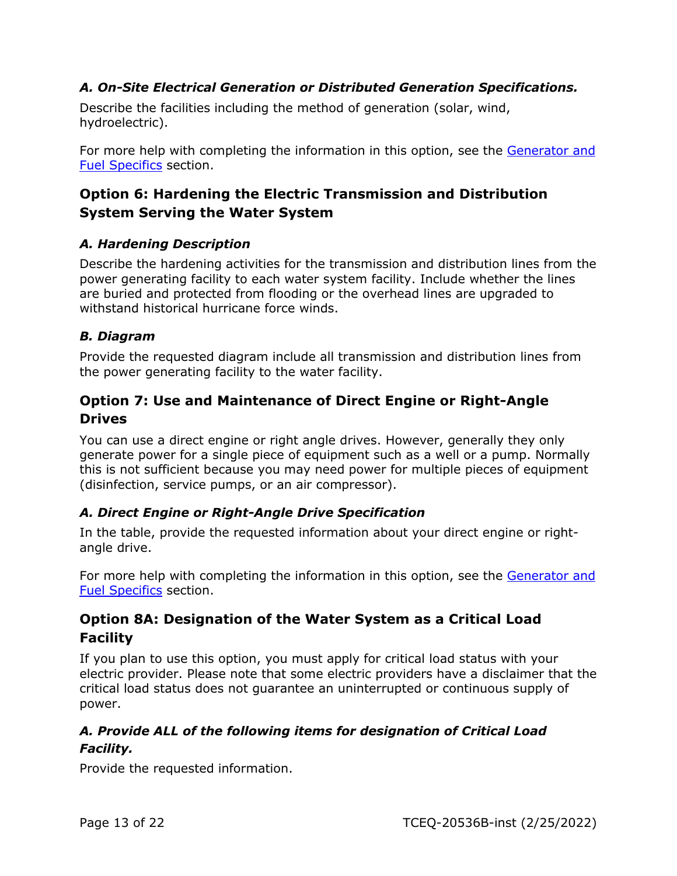#### *A. On-Site Electrical Generation or Distributed Generation Specifications.*

Describe the facilities including the method of generation (solar, wind, hydroelectric).

For more help with completing the information in this option, see the [Generator and](#page-21-0)  [Fuel Specifics](#page-21-0) section.

## <span id="page-12-0"></span>**Option 6: Hardening the Electric Transmission and Distribution System Serving the Water System**

#### *A. Hardening Description*

Describe the hardening activities for the transmission and distribution lines from the power generating facility to each water system facility. Include whether the lines are buried and protected from flooding or the overhead lines are upgraded to withstand historical hurricane force winds.

#### *B. Diagram*

Provide the requested diagram include all transmission and distribution lines from the power generating facility to the water facility.

#### <span id="page-12-1"></span>**Option 7: Use and Maintenance of Direct Engine or Right-Angle Drives**

You can use a direct engine or right angle drives. However, generally they only generate power for a single piece of equipment such as a well or a pump. Normally this is not sufficient because you may need power for multiple pieces of equipment (disinfection, service pumps, or an air compressor).

#### *A. Direct Engine or Right-Angle Drive Specification*

In the table, provide the requested information about your direct engine or rightangle drive.

For more help with completing the information in this option, see the [Generator and](#page-21-0)  [Fuel Specifics](#page-21-0) section.

## <span id="page-12-2"></span>**Option 8A: Designation of the Water System as a Critical Load Facility**

If you plan to use this option, you must apply for critical load status with your electric provider. Please note that some electric providers have a disclaimer that the critical load status does not guarantee an uninterrupted or continuous supply of power.

#### *A. Provide ALL of the following items for designation of Critical Load Facility.*

Provide the requested information.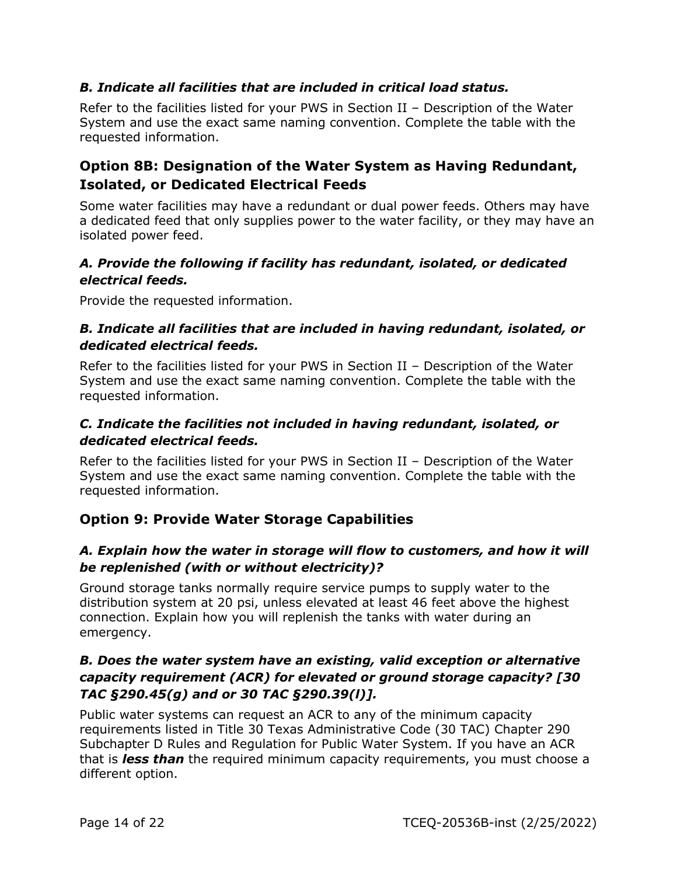#### *B. Indicate all facilities that are included in critical load status.*

Refer to the facilities listed for your PWS in Section II – Description of the Water System and use the exact same naming convention. Complete the table with the requested information.

#### <span id="page-13-0"></span>**Option 8B: Designation of the Water System as Having Redundant, Isolated, or Dedicated Electrical Feeds**

Some water facilities may have a redundant or dual power feeds. Others may have a dedicated feed that only supplies power to the water facility, or they may have an isolated power feed.

#### *A. Provide the following if facility has redundant, isolated, or dedicated electrical feeds.*

Provide the requested information.

#### *B. Indicate all facilities that are included in having redundant, isolated, or dedicated electrical feeds.*

Refer to the facilities listed for your PWS in Section II – Description of the Water System and use the exact same naming convention. Complete the table with the requested information.

#### *C. Indicate the facilities not included in having redundant, isolated, or dedicated electrical feeds.*

Refer to the facilities listed for your PWS in Section II – Description of the Water System and use the exact same naming convention. Complete the table with the requested information.

## <span id="page-13-1"></span>**Option 9: Provide Water Storage Capabilities**

#### *A. Explain how the water in storage will flow to customers, and how it will be replenished (with or without electricity)?*

Ground storage tanks normally require service pumps to supply water to the distribution system at 20 psi, unless elevated at least 46 feet above the highest connection. Explain how you will replenish the tanks with water during an emergency.

#### *B. Does the water system have an existing, valid exception or alternative capacity requirement (ACR) for elevated or ground storage capacity? [30 TAC §290.45(g) and or 30 TAC §290.39(l)].*

Public water systems can request an ACR to any of the minimum capacity requirements listed in Title 30 Texas Administrative Code (30 TAC) Chapter 290 Subchapter D Rules and Regulation for Public Water System. If you have an ACR that is *less than* the required minimum capacity requirements, you must choose a different option.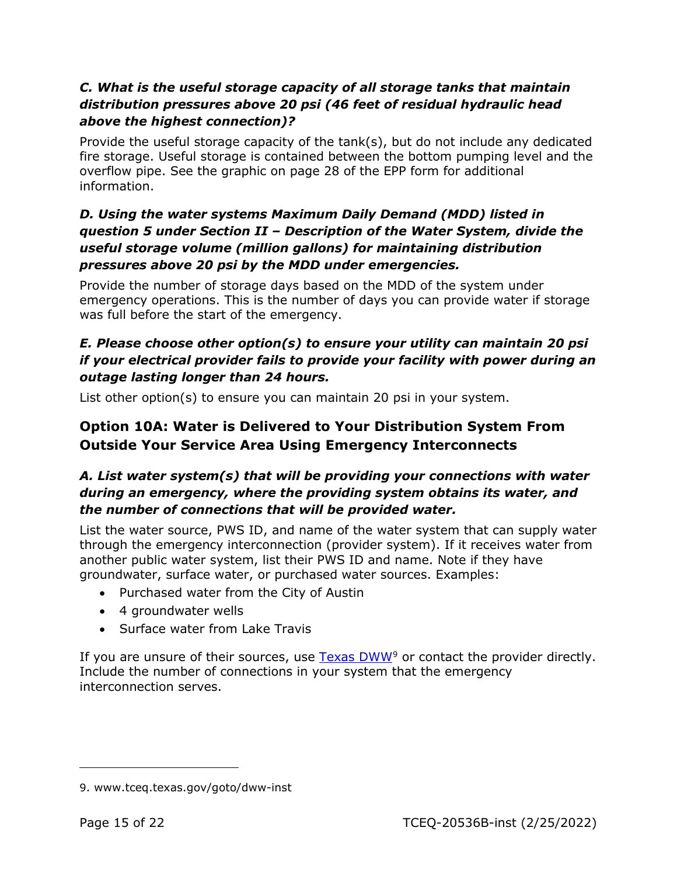#### *C. What is the useful storage capacity of all storage tanks that maintain distribution pressures above 20 psi (46 feet of residual hydraulic head above the highest connection)?*

Provide the useful storage capacity of the  $tanh(s)$ , but do not include any dedicated fire storage. Useful storage is contained between the bottom pumping level and the overflow pipe. See the graphic on page 28 of the EPP form for additional information.

#### *D. Using the water systems Maximum Daily Demand (MDD) listed in question 5 under Section II – Description of the Water System, divide the useful storage volume (million gallons) for maintaining distribution pressures above 20 psi by the MDD under emergencies.*

Provide the number of storage days based on the MDD of the system under emergency operations. This is the number of days you can provide water if storage was full before the start of the emergency.

#### *E. Please choose other option(s) to ensure your utility can maintain 20 psi if your electrical provider fails to provide your facility with power during an outage lasting longer than 24 hours.*

List other option(s) to ensure you can maintain 20 psi in your system.

## <span id="page-14-0"></span>**Option 10A: Water is Delivered to Your Distribution System From Outside Your Service Area Using Emergency Interconnects**

#### *A. List water system(s) that will be providing your connections with water during an emergency, where the providing system obtains its water, and the number of connections that will be provided water.*

List the water source, PWS ID, and name of the water system that can supply water through the emergency interconnection (provider system). If it receives water from another public water system, list their PWS ID and name. Note if they have groundwater, surface water, or purchased water sources. Examples:

- Purchased water from the City of Austin
- 4 groundwater wells
- Surface water from Lake Travis

If you are unsure of their sources, use  $Texas DWW<sup>9</sup>$  $Texas DWW<sup>9</sup>$  $Texas DWW<sup>9</sup>$  or contact the provider directly. Include the number of connections in your system that the emergency interconnection serves.

<span id="page-14-1"></span><sup>9.</sup> www.tceq.texas.gov/goto/dww-inst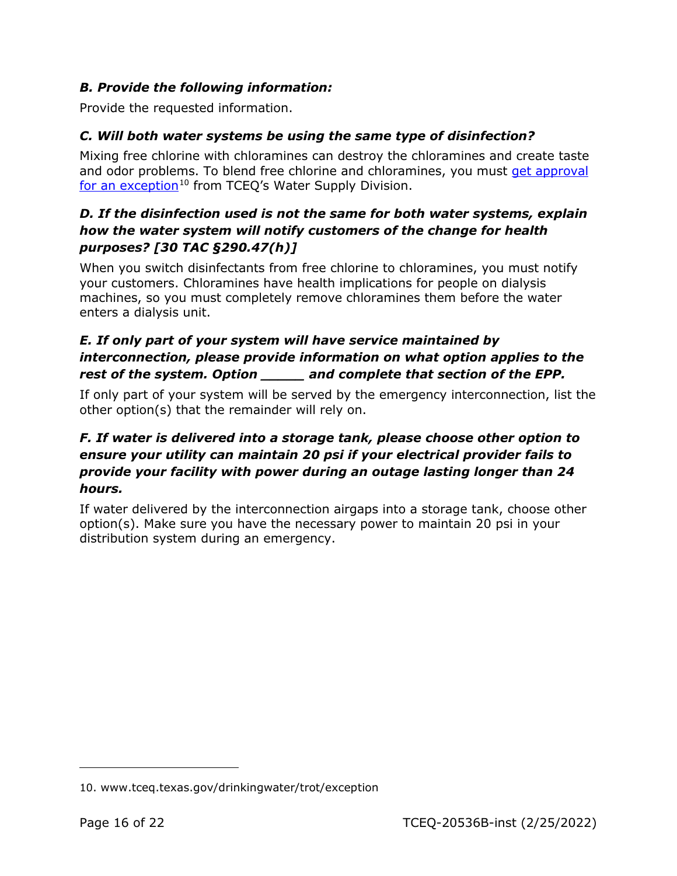#### *B. Provide the following information:*

Provide the requested information.

#### *C. Will both water systems be using the same type of disinfection?*

Mixing free chlorine with chloramines can destroy the chloramines and create taste and odor problems. To blend free chlorine and chloramines, you must get approval [for an exception](http://www.tceq.texas.gov/drinkingwater/trot/exception)<sup>[10](#page-15-0)</sup> from TCEQ's Water Supply Division.

#### *D. If the disinfection used is not the same for both water systems, explain how the water system will notify customers of the change for health purposes? [30 TAC §290.47(h)]*

When you switch disinfectants from free chlorine to chloramines, you must notify your customers. Chloramines have health implications for people on dialysis machines, so you must completely remove chloramines them before the water enters a dialysis unit.

#### *E. If only part of your system will have service maintained by interconnection, please provide information on what option applies to the rest of the system. Option \_\_\_\_\_ and complete that section of the EPP.*

If only part of your system will be served by the emergency interconnection, list the other option(s) that the remainder will rely on.

#### *F. If water is delivered into a storage tank, please choose other option to ensure your utility can maintain 20 psi if your electrical provider fails to provide your facility with power during an outage lasting longer than 24 hours.*

If water delivered by the interconnection airgaps into a storage tank, choose other option(s). Make sure you have the necessary power to maintain 20 psi in your distribution system during an emergency.

<span id="page-15-0"></span><sup>10.</sup> www.tceq.texas.gov/drinkingwater/trot/exception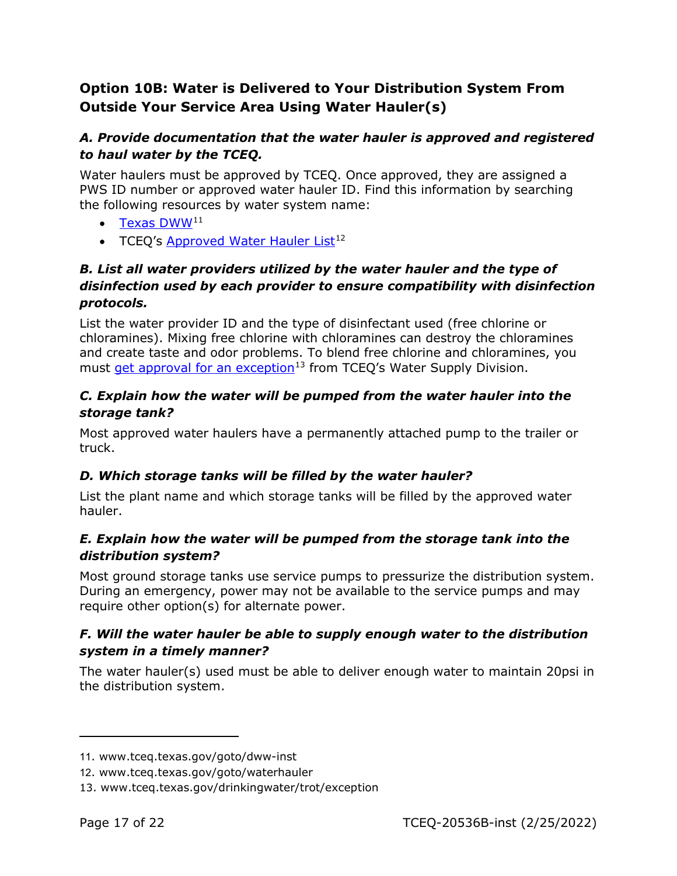## <span id="page-16-0"></span>**Option 10B: Water is Delivered to Your Distribution System From Outside Your Service Area Using Water Hauler(s)**

#### *A. Provide documentation that the water hauler is approved and registered to haul water by the TCEQ.*

Water haulers must be approved by TCEQ. Once approved, they are assigned a PWS ID number or approved water hauler ID. Find this information by searching the following resources by water system name:

- $\bullet$  [Texas DWW](https://www.tceq.texas.gov/goto/dww-inst)<sup>[11](#page-16-1)</sup>
- TCEQ's [Approved Water Hauler List](https://www.tceq.texas.gov/goto/waterhauler)<sup>[12](#page-16-2)</sup>

#### *B. List all water providers utilized by the water hauler and the type of disinfection used by each provider to ensure compatibility with disinfection protocols.*

List the water provider ID and the type of disinfectant used (free chlorine or chloramines). Mixing free chlorine with chloramines can destroy the chloramines and create taste and odor problems. To blend free chlorine and chloramines, you must [get approval for an exception](http://www.tceq.texas.gov/drinkingwater/trot/exception)<sup>[13](#page-16-3)</sup> from TCEQ's Water Supply Division.

#### *C. Explain how the water will be pumped from the water hauler into the storage tank?*

Most approved water haulers have a permanently attached pump to the trailer or truck.

#### *D. Which storage tanks will be filled by the water hauler?*

List the plant name and which storage tanks will be filled by the approved water hauler.

#### *E. Explain how the water will be pumped from the storage tank into the distribution system?*

Most ground storage tanks use service pumps to pressurize the distribution system. During an emergency, power may not be available to the service pumps and may require other option(s) for alternate power.

#### *F. Will the water hauler be able to supply enough water to the distribution system in a timely manner?*

The water hauler(s) used must be able to deliver enough water to maintain 20psi in the distribution system.

<span id="page-16-1"></span><sup>11</sup>. www.tceq.texas.gov/goto/dww-inst

<span id="page-16-2"></span><sup>12</sup>. www.tceq.texas.gov/goto/waterhauler

<span id="page-16-3"></span><sup>13.</sup> www.tceq.texas.gov/drinkingwater/trot/exception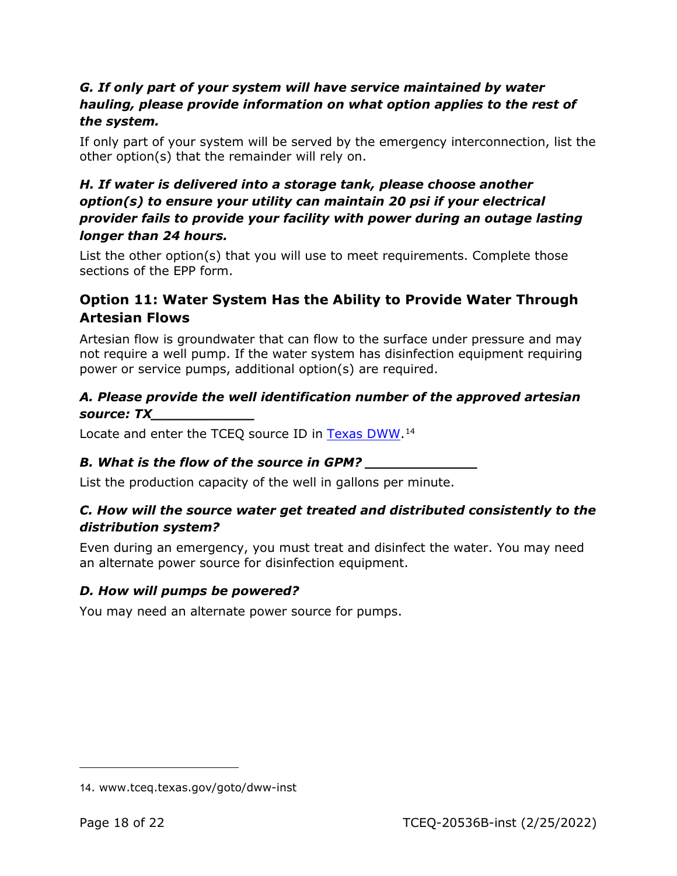#### *G. If only part of your system will have service maintained by water hauling, please provide information on what option applies to the rest of the system.*

If only part of your system will be served by the emergency interconnection, list the other option(s) that the remainder will rely on.

#### *H. If water is delivered into a storage tank, please choose another option(s) to ensure your utility can maintain 20 psi if your electrical provider fails to provide your facility with power during an outage lasting longer than 24 hours.*

List the other option(s) that you will use to meet requirements. Complete those sections of the EPP form.

## <span id="page-17-0"></span>**Option 11: Water System Has the Ability to Provide Water Through Artesian Flows**

Artesian flow is groundwater that can flow to the surface under pressure and may not require a well pump. If the water system has disinfection equipment requiring power or service pumps, additional option(s) are required.

#### *A. Please provide the well identification number of the approved artesian source: TX\_\_\_\_\_\_\_\_\_\_\_\_*

Locate and enter the TCEQ source ID in [Texas DWW.](https://www.tceq.texas.gov/goto/dww-inst)<sup>[14](#page-17-1)</sup>

## *B. What is the flow of the source in GPM? \_\_\_\_\_\_\_\_\_\_\_\_\_*

List the production capacity of the well in gallons per minute.

#### *C. How will the source water get treated and distributed consistently to the distribution system?*

Even during an emergency, you must treat and disinfect the water. You may need an alternate power source for disinfection equipment.

#### *D. How will pumps be powered?*

You may need an alternate power source for pumps.

<span id="page-17-1"></span><sup>14</sup>. www.tceq.texas.gov/goto/dww-inst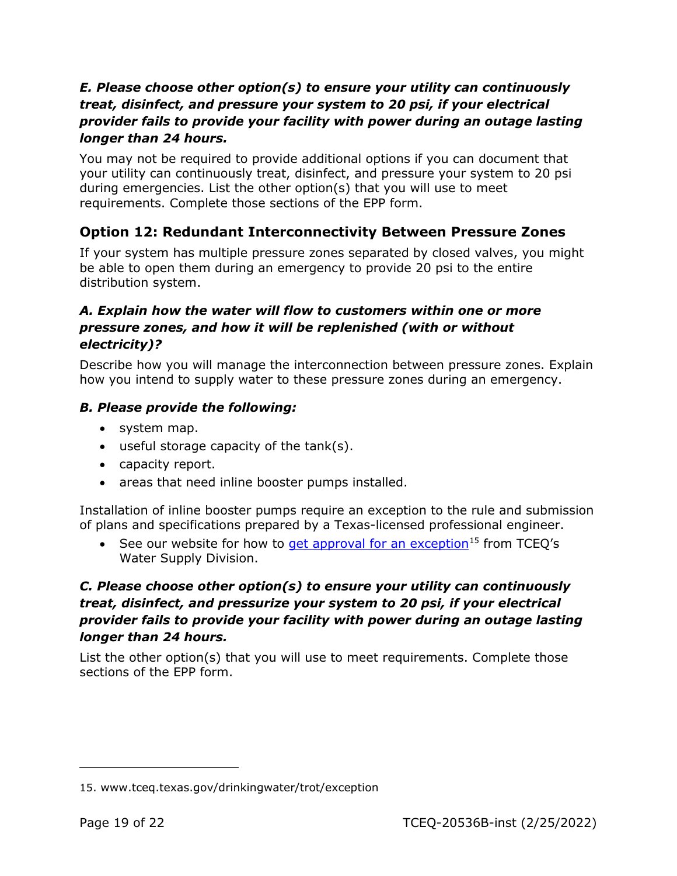#### *E. Please choose other option(s) to ensure your utility can continuously treat, disinfect, and pressure your system to 20 psi, if your electrical provider fails to provide your facility with power during an outage lasting longer than 24 hours.*

You may not be required to provide additional options if you can document that your utility can continuously treat, disinfect, and pressure your system to 20 psi during emergencies. List the other option(s) that you will use to meet requirements. Complete those sections of the EPP form.

## <span id="page-18-0"></span>**Option 12: Redundant Interconnectivity Between Pressure Zones**

If your system has multiple pressure zones separated by closed valves, you might be able to open them during an emergency to provide 20 psi to the entire distribution system.

#### *A. Explain how the water will flow to customers within one or more pressure zones, and how it will be replenished (with or without electricity)?*

Describe how you will manage the interconnection between pressure zones. Explain how you intend to supply water to these pressure zones during an emergency.

#### *B. Please provide the following:*

- system map.
- useful storage capacity of the tank(s).
- capacity report.
- areas that need inline booster pumps installed.

Installation of inline booster pumps require an exception to the rule and submission of plans and specifications prepared by a Texas-licensed professional engineer.

• See our website for how to [get approval for an exception](http://www.tceq.texas.gov/drinkingwater/trot/exception)<sup>[15](#page-18-1)</sup> from TCEO's Water Supply Division.

## *C. Please choose other option(s) to ensure your utility can continuously treat, disinfect, and pressurize your system to 20 psi, if your electrical provider fails to provide your facility with power during an outage lasting longer than 24 hours.*

List the other option(s) that you will use to meet requirements. Complete those sections of the EPP form.

<span id="page-18-1"></span><sup>15.</sup> www.tceq.texas.gov/drinkingwater/trot/exception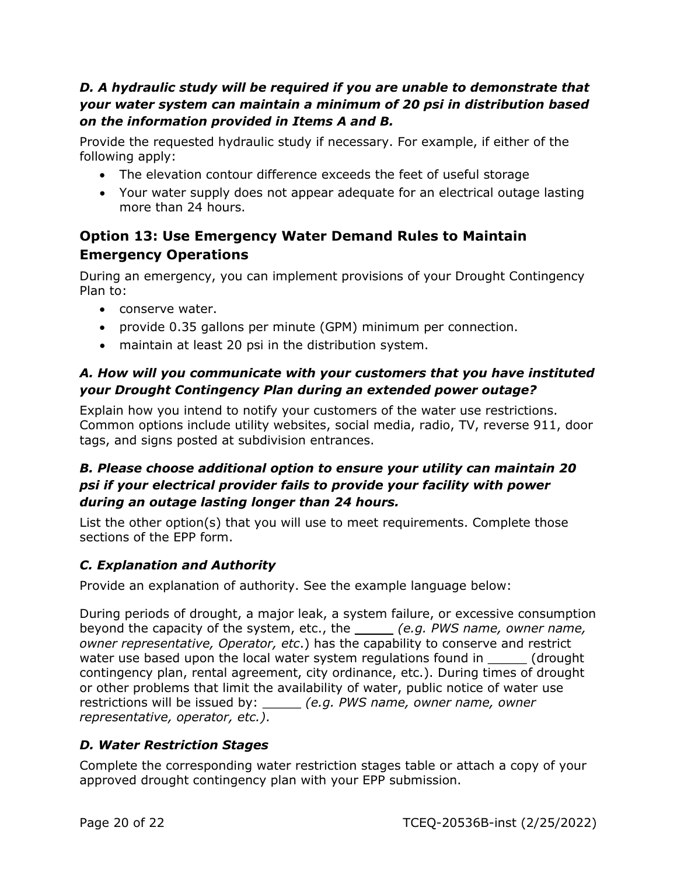#### *D. A hydraulic study will be required if you are unable to demonstrate that your water system can maintain a minimum of 20 psi in distribution based on the information provided in Items A and B.*

Provide the requested hydraulic study if necessary. For example, if either of the following apply:

- The elevation contour difference exceeds the feet of useful storage
- Your water supply does not appear adequate for an electrical outage lasting more than 24 hours.

## <span id="page-19-0"></span>**Option 13: Use Emergency Water Demand Rules to Maintain Emergency Operations**

During an emergency, you can implement provisions of your Drought Contingency Plan to:

- conserve water.
- provide 0.35 gallons per minute (GPM) minimum per connection.
- maintain at least 20 psi in the distribution system.

#### *A. How will you communicate with your customers that you have instituted your Drought Contingency Plan during an extended power outage?*

Explain how you intend to notify your customers of the water use restrictions. Common options include utility websites, social media, radio, TV, reverse 911, door tags, and signs posted at subdivision entrances.

#### *B. Please choose additional option to ensure your utility can maintain 20 psi if your electrical provider fails to provide your facility with power during an outage lasting longer than 24 hours.*

List the other option(s) that you will use to meet requirements. Complete those sections of the EPP form.

## *C. Explanation and Authority*

Provide an explanation of authority. See the example language below:

During periods of drought, a major leak, a system failure, or excessive consumption beyond the capacity of the system, etc., the \_\_\_\_\_ *(e.g. PWS name, owner name, owner representative, Operator, etc*.) has the capability to conserve and restrict water use based upon the local water system regulations found in \_\_\_\_\_\_ (drought contingency plan, rental agreement, city ordinance, etc.). During times of drought or other problems that limit the availability of water, public notice of water use restrictions will be issued by: \_\_\_\_\_ *(e.g. PWS name, owner name, owner representative, operator, etc.)*.

#### *D. Water Restriction Stages*

Complete the corresponding water restriction stages table or attach a copy of your approved drought contingency plan with your EPP submission.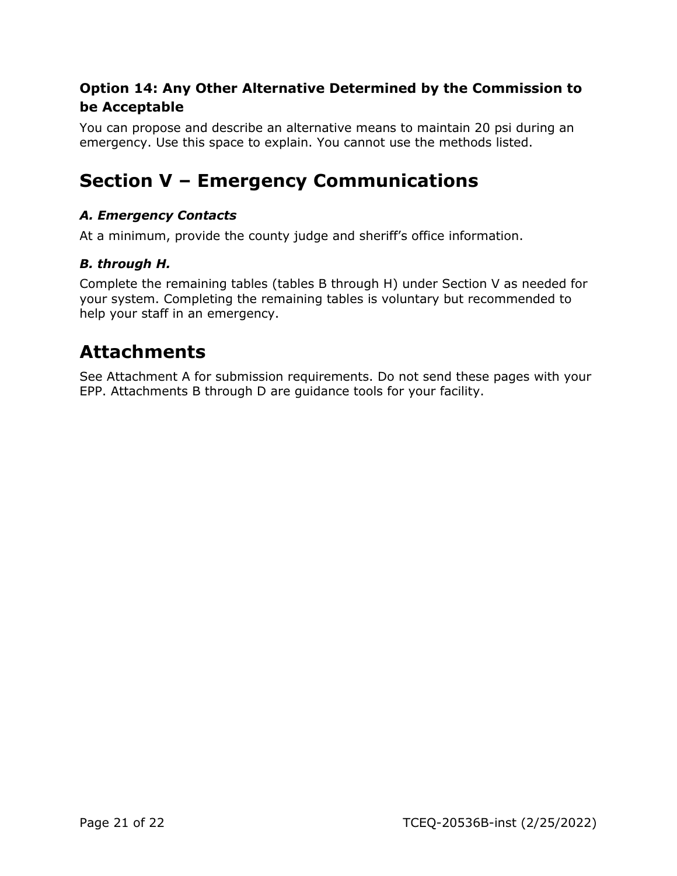## <span id="page-20-0"></span>**Option 14: Any Other Alternative Determined by the Commission to be Acceptable**

You can propose and describe an alternative means to maintain 20 psi during an emergency. Use this space to explain. You cannot use the methods listed.

## <span id="page-20-1"></span>**Section V – Emergency Communications**

#### *A. Emergency Contacts*

At a minimum, provide the county judge and sheriff's office information.

#### *B. through H.*

Complete the remaining tables (tables B through H) under Section V as needed for your system. Completing the remaining tables is voluntary but recommended to help your staff in an emergency.

## <span id="page-20-2"></span>**Attachments**

See Attachment A for submission requirements. Do not send these pages with your EPP. Attachments B through D are guidance tools for your facility.